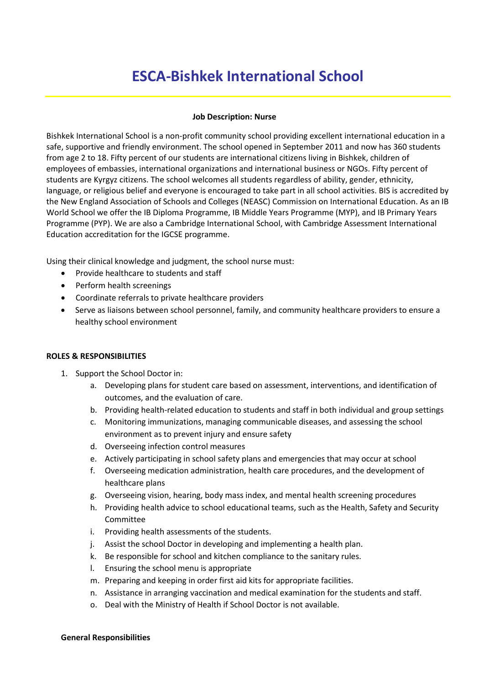# **ESCA-Bishkek International School**

## **Job Description: Nurse**

Bishkek International School is a non-profit community school providing excellent international education in a safe, supportive and friendly environment. The school opened in September 2011 and now has 360 students from age 2 to 18. Fifty percent of our students are international citizens living in Bishkek, children of employees of embassies, international organizations and international business or NGOs. Fifty percent of students are Kyrgyz citizens. The school welcomes all students regardless of ability, gender, ethnicity, language, or religious belief and everyone is encouraged to take part in all school activities. BIS is accredited by the New England Association of Schools and Colleges (NEASC) Commission on International Education. As an IB World School we offer the IB Diploma Programme, IB Middle Years Programme (MYP), and IB Primary Years Programme (PYP). We are also a Cambridge International School, with Cambridge Assessment International Education accreditation for the IGCSE programme.

Using their clinical knowledge and judgment, the school nurse must:

- Provide healthcare to students and staff
- Perform health screenings
- Coordinate referrals to private healthcare providers
- Serve as liaisons between school personnel, family, and community healthcare providers to ensure a healthy school environment

# **ROLES & RESPONSIBILITIES**

- 1. Support the School Doctor in:
	- a. Developing plans for student care based on assessment, interventions, and identification of outcomes, and the evaluation of care.
	- b. Providing health-related education to students and staff in both individual and group settings
	- c. Monitoring immunizations, managing communicable diseases, and assessing the school environment as to prevent injury and ensure safety
	- d. Overseeing infection control measures
	- e. Actively participating in school safety plans and emergencies that may occur at school
	- f. Overseeing medication administration, health care procedures, and the development of healthcare plans
	- g. Overseeing vision, hearing, body mass index, and mental health screening procedures
	- h. Providing health advice to school educational teams, such as the Health, Safety and Security Committee
	- i. Providing health assessments of the students.
	- j. Assist the school Doctor in developing and implementing a health plan.
	- k. Be responsible for school and kitchen compliance to the sanitary rules.
	- l. Ensuring the school menu is appropriate
	- m. Preparing and keeping in order first aid kits for appropriate facilities.
	- n. Assistance in arranging vaccination and medical examination for the students and staff.
	- o. Deal with the Ministry of Health if School Doctor is not available.